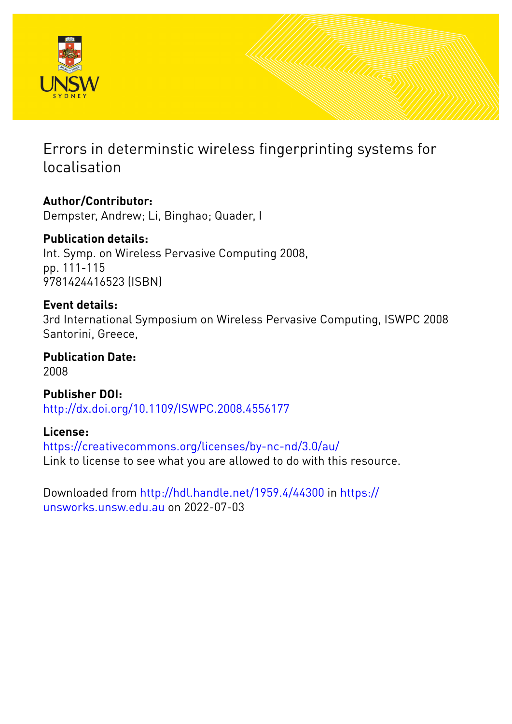

## Errors in determinstic wireless fingerprinting systems for localisation

**Author/Contributor:** Dempster, Andrew; Li, Binghao; Quader, I

**Publication details:** Int. Symp. on Wireless Pervasive Computing 2008, pp. 111-115 9781424416523 (ISBN)

### **Event details:**

3rd International Symposium on Wireless Pervasive Computing, ISWPC 2008 Santorini, Greece,

**Publication Date:** 2008

**Publisher DOI:** [http://dx.doi.org/10.1109/ISWPC.2008.4556177](http://dx.doi.org/http://dx.doi.org/10.1109/ISWPC.2008.4556177)

## **License:**

<https://creativecommons.org/licenses/by-nc-nd/3.0/au/> Link to license to see what you are allowed to do with this resource.

Downloaded from <http://hdl.handle.net/1959.4/44300> in [https://](https://unsworks.unsw.edu.au) [unsworks.unsw.edu.au](https://unsworks.unsw.edu.au) on 2022-07-03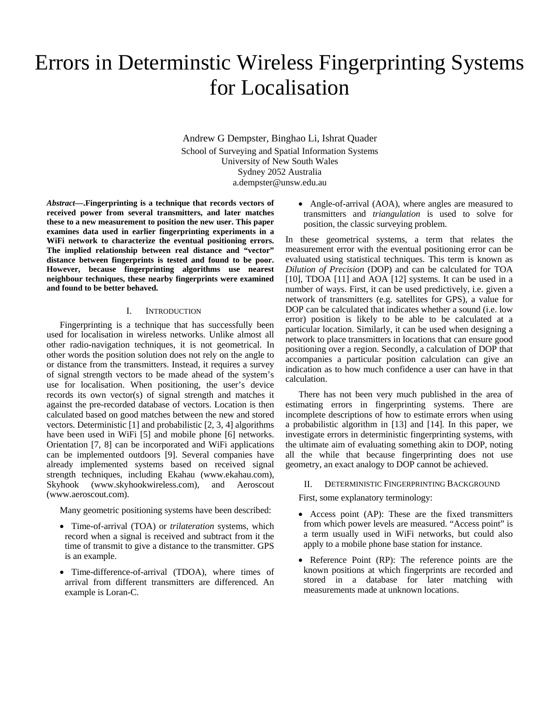# Errors in Determinstic Wireless Fingerprinting Systems for Localisation

Andrew G Dempster, Binghao Li, Ishrat Quader School of Surveying and Spatial Information Systems University of New South Wales Sydney 2052 Australia a.dempster@unsw.edu.au

*Abstract***—.Fingerprinting is a technique that records vectors of received power from several transmitters, and later matches these to a new measurement to position the new user. This paper examines data used in earlier fingerprinting experiments in a WiFi network to characterize the eventual positioning errors. The implied relationship between real distance and "vector" distance between fingerprints is tested and found to be poor. However, because fingerprinting algorithms use nearest neighbour techniques, these nearby fingerprints were examined and found to be better behaved.** 

#### I. INTRODUCTION

Fingerprinting is a technique that has successfully been used for localisation in wireless networks. Unlike almost all other radio-navigation techniques, it is not geometrical. In other words the position solution does not rely on the angle to or distance from the transmitters. Instead, it requires a survey of signal strength vectors to be made ahead of the system's use for localisation. When positioning, the user's device records its own vector(s) of signal strength and matches it against the pre-recorded database of vectors. Location is then calculated based on good matches between the new and stored vectors. Deterministic [\[1](#page-5-0)] and probabilistic [[2,](#page-5-1) [3,](#page-5-2) [4\]](#page-5-3) algorithms have been used in WiFi [[5\]](#page-5-4) and mobile phone [\[6](#page-5-5)] networks. Orientation [\[7,](#page-5-6) [8](#page-5-7)] can be incorporated and WiFi applications can be implemented outdoors [[9\]](#page-5-8). Several companies have already implemented systems based on received signal strength techniques, including Ekahau (www.ekahau.com), Skyhook (www.skyhookwireless.com), and Aeroscout (www.aeroscout.com).

Many geometric positioning systems have been described:

- Time-of-arrival (TOA) or *trilateration* systems, which record when a signal is received and subtract from it the time of transmit to give a distance to the transmitter. GPS is an example.
- Time-difference-of-arrival (TDOA), where times of arrival from different transmitters are differenced. An example is Loran-C.

• Angle-of-arrival (AOA), where angles are measured to transmitters and *triangulation* is used to solve for position, the classic surveying problem.

In these geometrical systems, a term that relates the measurement error with the eventual positioning error can be evaluated using statistical techniques. This term is known as *Dilution of Precision* (DOP) and can be calculated for TOA [\[10](#page-5-9)], TDOA [[11\]](#page-5-10) and AOA [\[12](#page-5-11)] systems. It can be used in a number of ways. First, it can be used predictively, i.e. given a network of transmitters (e.g. satellites for GPS), a value for DOP can be calculated that indicates whether a sound (i.e. low error) position is likely to be able to be calculated at a particular location. Similarly, it can be used when designing a network to place transmitters in locations that can ensure good positioning over a region. Secondly, a calculation of DOP that accompanies a particular position calculation can give an indication as to how much confidence a user can have in that calculation.

There has not been very much published in the area of estimating errors in fingerprinting systems. There are incomplete descriptions of how to estimate errors when using a probabilistic algorithm in [[13\]](#page-5-12) and [\[14](#page-5-13)]. In this paper, we investigate errors in deterministic fingerprinting systems, with the ultimate aim of evaluating something akin to DOP, noting all the while that because fingerprinting does not use geometry, an exact analogy to DOP cannot be achieved.

II. DETERMINISTIC FINGERPRINTING BACKGROUND

First, some explanatory terminology:

- Access point (AP): These are the fixed transmitters from which power levels are measured. "Access point" is a term usually used in WiFi networks, but could also apply to a mobile phone base station for instance.
- Reference Point (RP): The reference points are the known positions at which fingerprints are recorded and stored in a database for later matching with measurements made at unknown locations.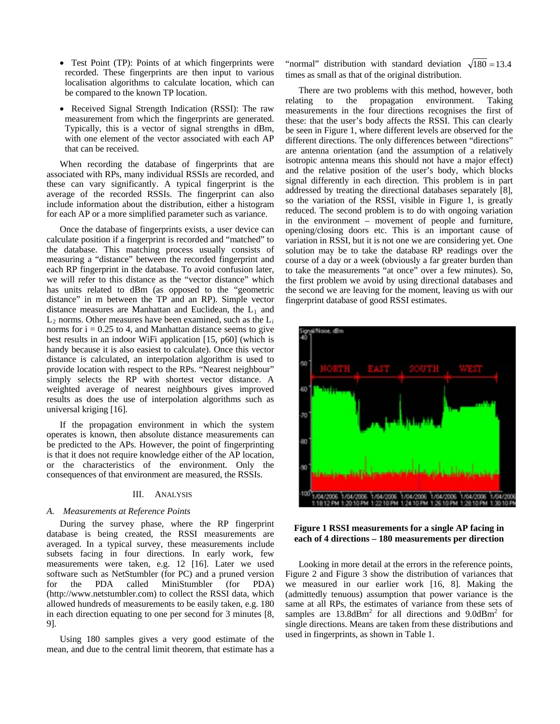- Test Point (TP): Points of at which fingerprints were recorded. These fingerprints are then input to various localisation algorithms to calculate location, which can be compared to the known TP location.
- Received Signal Strength Indication (RSSI): The raw measurement from which the fingerprints are generated. Typically, this is a vector of signal strengths in dBm, with one element of the vector associated with each AP that can be received.

When recording the database of fingerprints that are associated with RPs, many individual RSSIs are recorded, and these can vary significantly. A typical fingerprint is the average of the recorded RSSIs. The fingerprint can also include information about the distribution, either a histogram for each AP or a more simplified parameter such as variance.

Once the database of fingerprints exists, a user device can calculate position if a fingerprint is recorded and "matched" to the database. This matching process usually consists of measuring a "distance" between the recorded fingerprint and each RP fingerprint in the database. To avoid confusion later, we will refer to this distance as the "vector distance" which has units related to dBm (as opposed to the "geometric distance" in m between the TP and an RP). Simple vector distance measures are Manhattan and Euclidean, the  $L_1$  and  $L_2$  norms. Other measures have been examined, such as the  $L_i$ norms for  $i = 0.25$  to 4, and Manhattan distance seems to give best results in an indoor WiFi application [[15](#page-5-14), p60] (which is handy because it is also easiest to calculate). Once this vector distance is calculated, an interpolation algorithm is used to provide location with respect to the RPs. "Nearest neighbour" simply selects the RP with shortest vector distance. A weighted average of nearest neighbours gives improved results as does the use of interpolation algorithms such as universal kriging [\[16\]](#page-5-15).

If the propagation environment in which the system operates is known, then absolute distance measurements can be predicted to the APs. However, the point of fingerprinting is that it does not require knowledge either of the AP location, or the characteristics of the environment. Only the consequences of that environment are measured, the RSSIs.

#### III. ANALYSIS

#### *A. Measurements at Reference Points*

<span id="page-2-0"></span>During the survey phase, where the RP fingerprint database is being created, the RSSI measurements are averaged. In a typical survey, these measurements include subsets facing in four directions. In early work, few measurements were taken, e.g. 12 [[16\]](#page-5-15). Later we used software such as NetStumbler (for PC) and a pruned version for the PDA called MiniStumbler (for PDA) (http://www.netstumbler.com) to collect the RSSI data, which allowed hundreds of measurements to be easily taken, e.g. 180 in each direction equating to one per second for 3 minutes [\[8](#page-5-7), [9\]](#page-5-8).

Using 180 samples gives a very good estimate of the mean, and due to the central limit theorem, that estimate has a "normal" distribution with standard deviation  $\sqrt{180} = 13.4$ times as small as that of the original distribution.

There are two problems with this method, however, both relating to the propagation environment. Taking measurements in the four directions recognises the first of these: that the user's body affects the RSSI. This can clearly be seen in [Figure 1,](#page-2-0) where different levels are observed for the different directions. The only differences between "directions" are antenna orientation (and the assumption of a relatively isotropic antenna means this should not have a major effect) and the relative position of the user's body, which blocks signal differently in each direction. This problem is in part addressed by treating the directional databases separately [\[8](#page-5-7)], so the variation of the RSSI, visible in [Figure 1,](#page-2-0) is greatly reduced. The second problem is to do with ongoing variation in the environment – movement of people and furniture, opening/closing doors etc. This is an important cause of variation in RSSI, but it is not one we are considering yet. One solution may be to take the database RP readings over the course of a day or a week (obviously a far greater burden than to take the measurements "at once" over a few minutes). So, the first problem we avoid by using directional databases and the second we are leaving for the moment, leaving us with our fingerprint database of good RSSI estimates.



**Figure 1 RSSI measurements for a single AP facing in each of 4 directions – 180 measurements per direction** 

Looking in more detail at the errors in the reference points, [Figure 2](#page-3-0) and [Figure 3](#page-3-1) show the distribution of variances that we measured in our earlier work [[16,](#page-5-15) [8](#page-5-7)]. Making the (admittedly tenuous) assumption that power variance is the same at all RPs, the estimates of variance from these sets of samples are  $13.8 \text{dBm}^2$  for all directions and  $9.0 \text{dBm}^2$  for single directions. Means are taken from these distributions and used in fingerprints, as shown in [Table 1.](#page-3-2)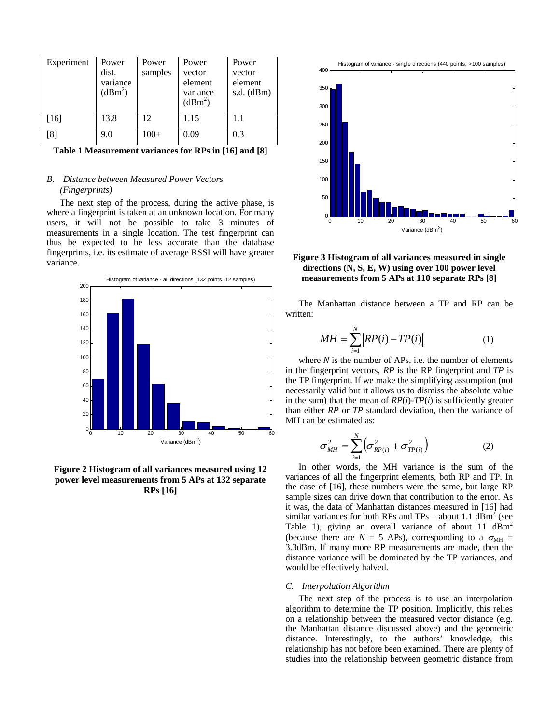| Experiment | Power<br>dist.<br>variance<br>(dBm <sup>2</sup> ) | Power<br>samples | Power<br>vector<br>element<br>variance<br>(dBm <sup>2</sup> ) | Power<br>vector<br>element<br>s.d. (dBm) |
|------------|---------------------------------------------------|------------------|---------------------------------------------------------------|------------------------------------------|
| $[16]$     | 13.8                                              | 12.              | 1.15                                                          | 1.1                                      |
| [8]        | 9.0                                               | $100+$           | 0.09                                                          | 0.3                                      |

<span id="page-3-2"></span>**Table 1 Measurement variances for RPs in [\[16](#page-5-15)] and [\[8](#page-5-7)]** 

#### *B. Distance between Measured Power Vectors (Fingerprints)*

<span id="page-3-1"></span>The next step of the process, during the active phase, is where a fingerprint is taken at an unknown location. For many users, it will not be possible to take 3 minutes of measurements in a single location. The test fingerprint can thus be expected to be less accurate than the database fingerprints, i.e. its estimate of average RSSI will have greater variance.



<span id="page-3-0"></span>**Figure 2 Histogram of all variances measured using 12 power level measurements from 5 APs at 132 separate RPs [\[16](#page-5-15)]** 



**Figure 3 Histogram of all variances measured in single directions (N, S, E, W) using over 100 power level measurements from 5 APs at 110 separate RPs [[8\]](#page-5-7)** 

The Manhattan distance between a TP and RP can be written:

$$
MH = \sum_{i=1}^{N} |RP(i) - TP(i)|
$$
 (1)

where *N* is the number of APs, i.e. the number of elements in the fingerprint vectors, *RP* is the RP fingerprint and *TP* is the TP fingerprint. If we make the simplifying assumption (not necessarily valid but it allows us to dismiss the absolute value in the sum) that the mean of *RP*(*i*)-*TP*(*i*) is sufficiently greater than either *RP* or *TP* standard deviation, then the variance of MH can be estimated as:

$$
\sigma_{MH}^2 = \sum_{i=1}^N \left( \sigma_{RP(i)}^2 + \sigma_{TP(i)}^2 \right)
$$
 (2)

In other words, the MH variance is the sum of the variances of all the fingerprint elements, both RP and TP. In the case of [[16\]](#page-5-15), these numbers were the same, but large RP sample sizes can drive down that contribution to the error. As it was, the data of Manhattan distances measured in [\[16\]](#page-5-15) had similar variances for both RPs and TPs – about 1.1  $\text{dBm}^2$  (see [Table 1](#page-3-2)), giving an overall variance of about 11  $dBm<sup>2</sup>$ (because there are  $N = 5$  APs), corresponding to a  $\sigma_{MH}$  = 3.3dBm. If many more RP measurements are made, then the distance variance will be dominated by the TP variances, and would be effectively halved.

#### *C. Interpolation Algorithm*

The next step of the process is to use an interpolation algorithm to determine the TP position. Implicitly, this relies on a relationship between the measured vector distance (e.g. the Manhattan distance discussed above) and the geometric distance. Interestingly, to the authors' knowledge, this relationship has not before been examined. There are plenty of studies into the relationship between geometric distance from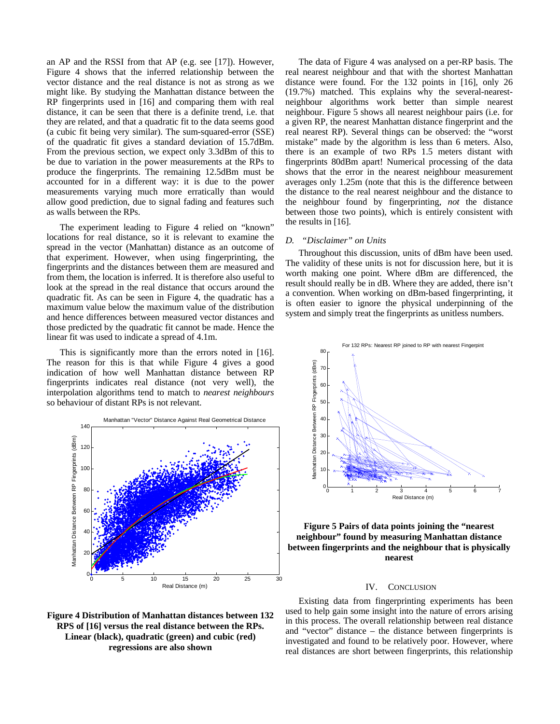an AP and the RSSI from that AP (e.g. see [\[17](#page-5-16)]). However, [Figure 4](#page-4-0) shows that the inferred relationship between the vector distance and the real distance is not as strong as we might like. By studying the Manhattan distance between the RP fingerprints used in [[16\]](#page-5-15) and comparing them with real distance, it can be seen that there is a definite trend, i.e. that they are related, and that a quadratic fit to the data seems good (a cubic fit being very similar). The sum-squared-error (SSE) of the quadratic fit gives a standard deviation of 15.7dBm. From the previous section, we expect only 3.3dBm of this to be due to variation in the power measurements at the RPs to produce the fingerprints. The remaining 12.5dBm must be accounted for in a different way: it is due to the power measurements varying much more erratically than would allow good prediction, due to signal fading and features such as walls between the RPs.

The experiment leading to [Figure 4](#page-4-0) relied on "known" locations for real distance, so it is relevant to examine the spread in the vector (Manhattan) distance as an outcome of that experiment. However, when using fingerprinting, the fingerprints and the distances between them are measured and from them, the location is inferred. It is therefore also useful to look at the spread in the real distance that occurs around the quadratic fit. As can be seen in [Figure 4,](#page-4-0) the quadratic has a maximum value below the maximum value of the distribution and hence differences between measured vector distances and those predicted by the quadratic fit cannot be made. Hence the linear fit was used to indicate a spread of 4.1m.

This is significantly more than the errors noted in [\[16](#page-5-15)]. The reason for this is that while [Figure 4](#page-4-0) gives a good indication of how well Manhattan distance between RP fingerprints indicates real distance (not very well), the interpolation algorithms tend to match to *nearest neighbours*  so behaviour of distant RPs is not relevant.



<span id="page-4-1"></span><span id="page-4-0"></span>**Figure 4 Distribution of Manhattan distances between 132 RPS of [[16\]](#page-5-15) versus the real distance between the RPs. Linear (black), quadratic (green) and cubic (red) regressions are also shown** 

The data of [Figure 4](#page-4-0) was analysed on a per-RP basis. The real nearest neighbour and that with the shortest Manhattan distance were found. For the 132 points in [\[16](#page-5-15)], only 26 (19.7%) matched. This explains why the several-nearestneighbour algorithms work better than simple nearest neighbour. [Figure 5](#page-4-1) shows all nearest neighbour pairs (i.e. for a given RP, the nearest Manhattan distance fingerprint and the real nearest RP). Several things can be observed: the "worst mistake" made by the algorithm is less than 6 meters. Also, there is an example of two RPs 1.5 meters distant with fingerprints 80dBm apart! Numerical processing of the data shows that the error in the nearest neighbour measurement averages only 1.25m (note that this is the difference between the distance to the real nearest neighbour and the distance to the neighbour found by fingerprinting, *not* the distance between those two points), which is entirely consistent with the results in [\[16](#page-5-15)].

#### *D. "Disclaimer" on Units*

Throughout this discussion, units of dBm have been used. The validity of these units is not for discussion here, but it is worth making one point. Where dBm are differenced, the result should really be in dB. Where they are added, there isn't a convention. When working on dBm-based fingerprinting, it is often easier to ignore the physical underpinning of the system and simply treat the fingerprints as unitless numbers.



**Figure 5 Pairs of data points joining the "nearest neighbour" found by measuring Manhattan distance between fingerprints and the neighbour that is physically nearest** 

#### IV. CONCLUSION

Existing data from fingerprinting experiments has been used to help gain some insight into the nature of errors arising in this process. The overall relationship between real distance and "vector" distance – the distance between fingerprints is investigated and found to be relatively poor. However, where real distances are short between fingerprints, this relationship